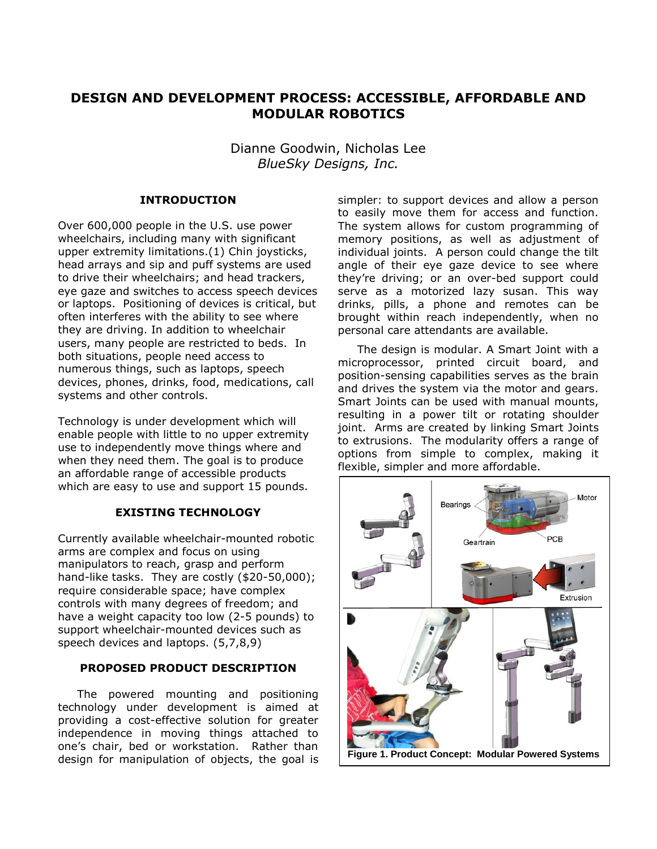# **DESIGN AND DEVELOPMENT PROCESS: ACCESSIBLE, AFFORDABLE AND MODULAR ROBOTICS**

Dianne Goodwin, Nicholas Lee *BlueSky Designs, Inc.*

## **INTRODUCTION**

Over 600,000 people in the U.S. use power wheelchairs, including many with significant upper extremity limitations.(1) Chin joysticks, head arrays and sip and puff systems are used to drive their wheelchairs; and head trackers, eye gaze and switches to access speech devices or laptops. Positioning of devices is critical, but often interferes with the ability to see where they are driving. In addition to wheelchair users, many people are restricted to beds. In both situations, people need access to numerous things, such as laptops, speech devices, phones, drinks, food, medications, call systems and other controls.

Technology is under development which will enable people with little to no upper extremity use to independently move things where and when they need them. The goal is to produce an affordable range of accessible products which are easy to use and support 15 pounds.

## **EXISTING TECHNOLOGY**

Currently available wheelchair-mounted robotic arms are complex and focus on using manipulators to reach, grasp and perform hand-like tasks. They are costly (\$20-50,000); require considerable space; have complex controls with many degrees of freedom; and have a weight capacity too low (2-5 pounds) to support wheelchair-mounted devices such as speech devices and laptops. (5,7,8,9)

## **PROPOSED PRODUCT DESCRIPTION**

The powered mounting and positioning technology under development is aimed at providing a cost-effective solution for greater independence in moving things attached to one's chair, bed or workstation. Rather than design for manipulation of objects, the goal is

simpler: to support devices and allow a person to easily move them for access and function. The system allows for custom programming of memory positions, as well as adjustment of individual joints. A person could change the tilt angle of their eye gaze device to see where they're driving; or an over-bed support could serve as a motorized lazy susan. This way drinks, pills, a phone and remotes can be brought within reach independently, when no personal care attendants are available.

The design is modular. A Smart Joint with a microprocessor, printed circuit board, and position-sensing capabilities serves as the brain and drives the system via the motor and gears. Smart Joints can be used with manual mounts, resulting in a power tilt or rotating shoulder joint. Arms are created by linking Smart Joints to extrusions. The modularity offers a range of options from simple to complex, making it flexible, simpler and more affordable.

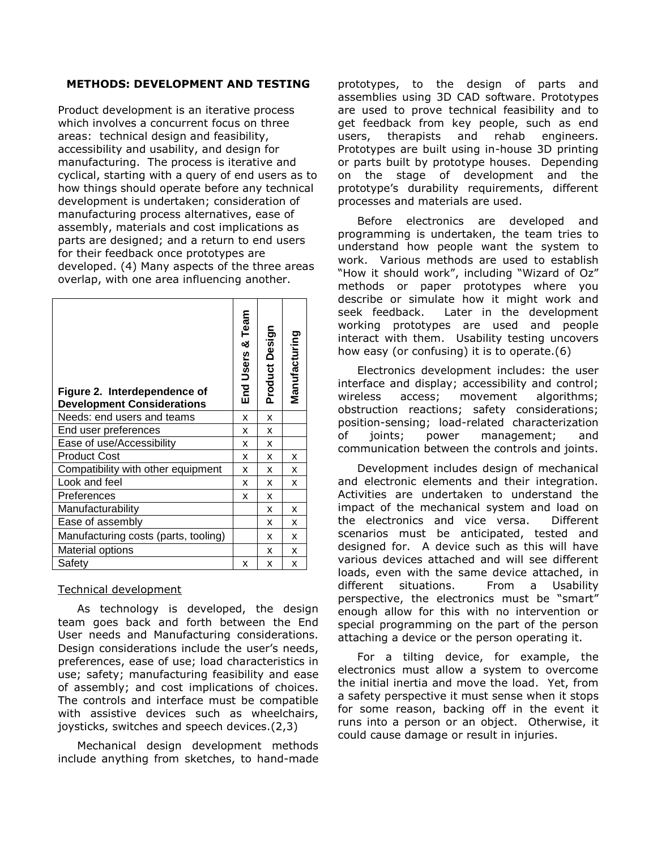### **METHODS: DEVELOPMENT AND TESTING**

Product development is an iterative process which involves a concurrent focus on three areas: technical design and feasibility, accessibility and usability, and design for manufacturing. The process is iterative and cyclical, starting with a query of end users as to how things should operate before any technical development is undertaken; consideration of manufacturing process alternatives, ease of assembly, materials and cost implications as parts are designed; and a return to end users for their feedback once prototypes are developed. (4) Many aspects of the three areas overlap, with one area influencing another.

| Figure 2. Interdependence of<br><b>Development Considerations</b> | End Users & Team | Product Design | Manufacturing |
|-------------------------------------------------------------------|------------------|----------------|---------------|
| Needs: end users and teams                                        | x                | X              |               |
| End user preferences                                              | x                | x              |               |
| Ease of use/Accessibility                                         | X                | x              |               |
| <b>Product Cost</b>                                               | x                | x              | x             |
| Compatibility with other equipment                                | x                | x              | x             |
| Look and feel                                                     | x                | x              | x             |
| Preferences                                                       | x                | x              |               |
| Manufacturability                                                 |                  | x              | x             |
| Ease of assembly                                                  |                  | x              | x             |
| Manufacturing costs (parts, tooling)                              |                  | x              | x             |
| Material options                                                  |                  | x              | x             |
| Safety                                                            | x                | x              | x             |

## Technical development

As technology is developed, the design team goes back and forth between the End User needs and Manufacturing considerations. Design considerations include the user's needs, preferences, ease of use; load characteristics in use; safety; manufacturing feasibility and ease of assembly; and cost implications of choices. The controls and interface must be compatible with assistive devices such as wheelchairs, joysticks, switches and speech devices.(2,3)

Mechanical design development methods include anything from sketches, to hand-made

prototypes, to the design of parts and assemblies using 3D CAD software. Prototypes are used to prove technical feasibility and to get feedback from key people, such as end users, therapists and rehab engineers. Prototypes are built using in-house 3D printing or parts built by prototype houses. Depending on the stage of development and the prototype's durability requirements, different processes and materials are used.

Before electronics are developed and programming is undertaken, the team tries to understand how people want the system to work. Various methods are used to establish "How it should work", including "Wizard of Oz" methods or paper prototypes where you describe or simulate how it might work and seek feedback. Later in the development working prototypes are used and people interact with them. Usability testing uncovers how easy (or confusing) it is to operate.(6)

Electronics development includes: the user interface and display; accessibility and control; wireless access; movement algorithms; obstruction reactions; safety considerations; position-sensing; load-related characterization of joints; power management; and communication between the controls and joints.

Development includes design of mechanical and electronic elements and their integration. Activities are undertaken to understand the impact of the mechanical system and load on the electronics and vice versa. Different scenarios must be anticipated, tested and designed for. A device such as this will have various devices attached and will see different loads, even with the same device attached, in different situations. From a Usability perspective, the electronics must be "smart" enough allow for this with no intervention or special programming on the part of the person attaching a device or the person operating it.

For a tilting device, for example, the electronics must allow a system to overcome the initial inertia and move the load. Yet, from a safety perspective it must sense when it stops for some reason, backing off in the event it runs into a person or an object. Otherwise, it could cause damage or result in injuries.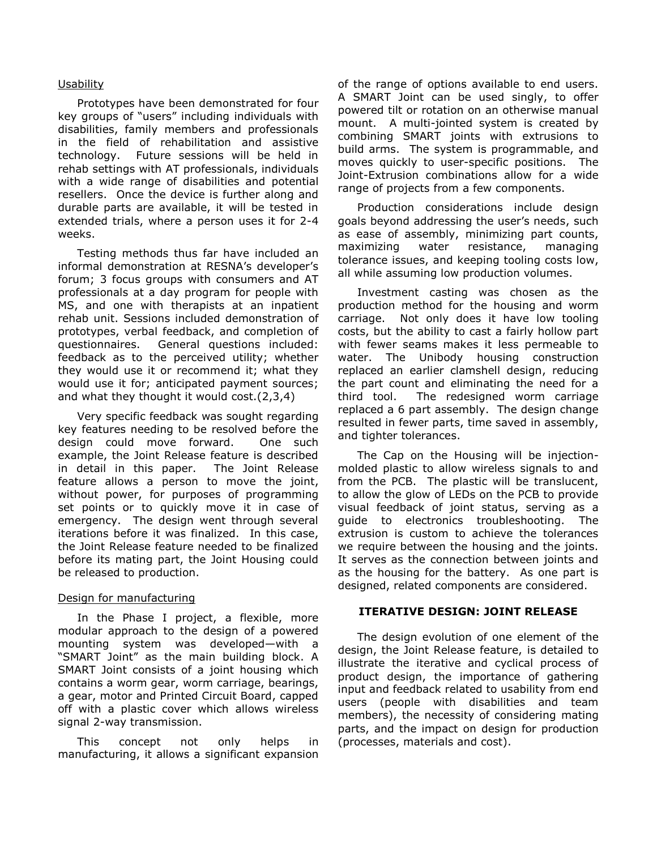#### Usability

Prototypes have been demonstrated for four key groups of "users" including individuals with disabilities, family members and professionals in the field of rehabilitation and assistive technology. Future sessions will be held in rehab settings with AT professionals, individuals with a wide range of disabilities and potential resellers. Once the device is further along and durable parts are available, it will be tested in extended trials, where a person uses it for 2-4 weeks.

Testing methods thus far have included an informal demonstration at RESNA's developer's forum; 3 focus groups with consumers and AT professionals at a day program for people with MS, and one with therapists at an inpatient rehab unit. Sessions included demonstration of prototypes, verbal feedback, and completion of questionnaires. General questions included: feedback as to the perceived utility; whether they would use it or recommend it; what they would use it for; anticipated payment sources; and what they thought it would cost.(2,3,4)

Very specific feedback was sought regarding key features needing to be resolved before the design could move forward. One such example, the Joint Release feature is described in detail in this paper. The Joint Release feature allows a person to move the joint, without power, for purposes of programming set points or to quickly move it in case of emergency. The design went through several iterations before it was finalized. In this case, the Joint Release feature needed to be finalized before its mating part, the Joint Housing could be released to production.

#### Design for manufacturing

In the Phase I project, a flexible, more modular approach to the design of a powered mounting system was developed—with a "SMART Joint" as the main building block. A SMART Joint consists of a joint housing which contains a worm gear, worm carriage, bearings, a gear, motor and Printed Circuit Board, capped off with a plastic cover which allows wireless signal 2-way transmission.

This concept not only helps in manufacturing, it allows a significant expansion

of the range of options available to end users. A SMART Joint can be used singly, to offer powered tilt or rotation on an otherwise manual mount. A multi-jointed system is created by combining SMART joints with extrusions to build arms. The system is programmable, and moves quickly to user-specific positions. The Joint-Extrusion combinations allow for a wide range of projects from a few components.

Production considerations include design goals beyond addressing the user's needs, such as ease of assembly, minimizing part counts, maximizing water resistance, managing tolerance issues, and keeping tooling costs low, all while assuming low production volumes.

Investment casting was chosen as the production method for the housing and worm carriage. Not only does it have low tooling costs, but the ability to cast a fairly hollow part with fewer seams makes it less permeable to water. The Unibody housing construction replaced an earlier clamshell design, reducing the part count and eliminating the need for a third tool. The redesigned worm carriage replaced a 6 part assembly. The design change resulted in fewer parts, time saved in assembly, and tighter tolerances.

The Cap on the Housing will be injectionmolded plastic to allow wireless signals to and from the PCB. The plastic will be translucent, to allow the glow of LEDs on the PCB to provide visual feedback of joint status, serving as a guide to electronics troubleshooting. The extrusion is custom to achieve the tolerances we require between the housing and the joints. It serves as the connection between joints and as the housing for the battery. As one part is designed, related components are considered.

#### **ITERATIVE DESIGN: JOINT RELEASE**

The design evolution of one element of the design, the Joint Release feature, is detailed to illustrate the iterative and cyclical process of product design, the importance of gathering input and feedback related to usability from end users (people with disabilities and team members), the necessity of considering mating parts, and the impact on design for production (processes, materials and cost).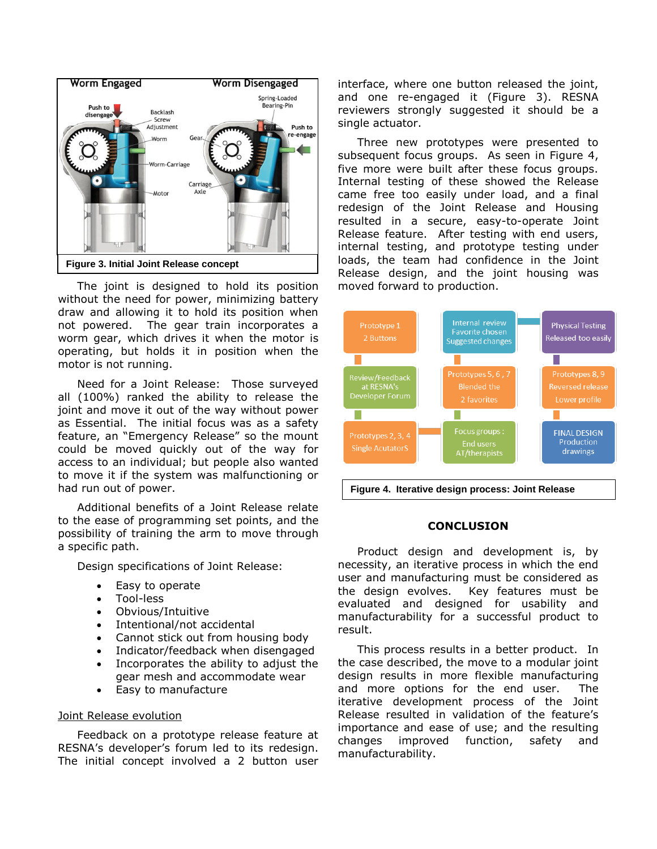

The joint is designed to hold its position without the need for power, minimizing battery draw and allowing it to hold its position when not powered. The gear train incorporates a worm gear, which drives it when the motor is operating, but holds it in position when the motor is not running.

Need for a Joint Release: Those surveyed all (100%) ranked the ability to release the joint and move it out of the way without power as Essential. The initial focus was as a safety feature, an "Emergency Release" so the mount could be moved quickly out of the way for access to an individual; but people also wanted to move it if the system was malfunctioning or had run out of power.

Additional benefits of a Joint Release relate to the ease of programming set points, and the possibility of training the arm to move through a specific path.

Design specifications of Joint Release:

- Easy to operate
- Tool-less
- Obvious/Intuitive
- Intentional/not accidental
- Cannot stick out from housing body
- Indicator/feedback when disengaged
- Incorporates the ability to adjust the gear mesh and accommodate wear
- Easy to manufacture

#### Joint Release evolution

Feedback on a prototype release feature at RESNA's developer's forum led to its redesign. The initial concept involved a 2 button user

interface, where one button released the joint, and one re-engaged it (Figure 3). RESNA reviewers strongly suggested it should be a single actuator.

Three new prototypes were presented to subsequent focus groups. As seen in Figure 4, five more were built after these focus groups. Internal testing of these showed the Release came free too easily under load, and a final redesign of the Joint Release and Housing resulted in a secure, easy-to-operate Joint Release feature. After testing with end users, internal testing, and prototype testing under loads, the team had confidence in the Joint Release design, and the joint housing was moved forward to production.



**Figure 4. Iterative design process: Joint Release**

#### **CONCLUSION**

Product design and development is, by necessity, an iterative process in which the end user and manufacturing must be considered as the design evolves. Key features must be evaluated and designed for usability and manufacturability for a successful product to result.

This process results in a better product. In the case described, the move to a modular joint design results in more flexible manufacturing and more options for the end user. The iterative development process of the Joint Release resulted in validation of the feature's importance and ease of use; and the resulting changes improved function, safety and manufacturability.